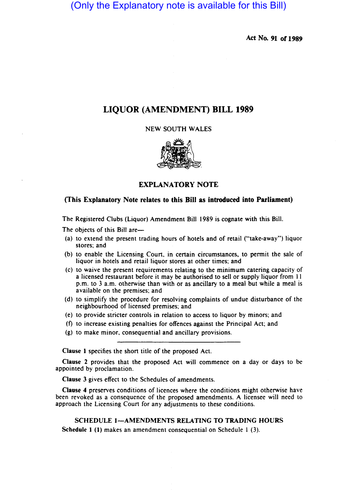(Only the Explanatory note is available for this Bill)

Act No. 91 or 1989

# LIQUOR (AMENDMENT) BILL 1989

NEW SOUTH WALES



## EXPLANATORY NOTE

### (This Explanatory Note relates to this Bill as introduced into Parliament)

The Registered Clubs (Liquor) Amendment Bill 1989 is cognate with this Bill.

The objects of this Bill are-

- (a) to extend the present trading hours of hotels and of retail ("take-away") liquor stores; and
- (b) to enable the Licensing Court. in certain circumstances. to permit the sale of liquor in hotels and retail liquor stores at other times; and
- (c) to waive the present requirement relating to the minimum catering capacity of a licensed restaurant before it may be authorised to sell or supply liquor from 11 p.m. to 3 a.m. otherwise than with or as ancillary to a meal but while a meal is available on the premises; and
- (d) to simplify the procedure for resdlving complaints of undue disturbance of the neighbourhood of licensed premises; and
- (e) to provide stricter controls in relation to access to liquor by minors; and
- $(f)$  to increase existing penalties for offences against the Principal Act; and
- $(g)$  to make minor, consequential and ancillary provisions.

Clause 1 specifies the short title of the proposed Act.

Clause 2 provides that the proposed Act will commence on a day or days to be appointed by proclamation.

Clause 3 gives effect to the Schedules of amendments.

Clause 4 preserves conditions of licences where the conditions might otherwise have been revoked as a consequence of the proposed amendments. A licensee will need to approach the Licensing Court for any adjustments to these conditions.

SCHEDULE 1-AMENDMENTS RELATING TO TRADING HOURS Schedule 1 (1) makes an amendment consequential on Schedule  $1$  (3).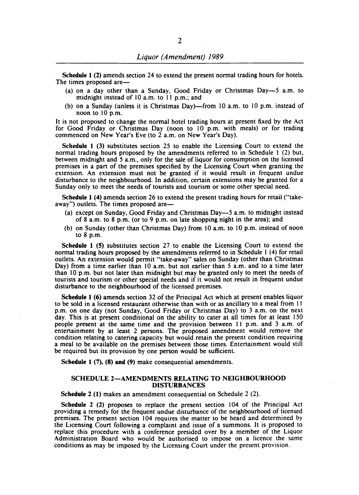Schedule 1 (2) amends section 24 to extend the present normal trading hours for hotels. The times proposed are-

- (a) on a day other than a Sunday, Good Friday or Christmas Oay-5 a.m. to midnight instead of 10 a.m. to 11 p.m.; and
- (b) on a Sunday (unless it is Christmas Day)—from 10 a.m. to 10 p.m. instead of noon to 10 p.m.

It is not proposed to change the normal hotel trading hours at present fixed by the Act for Good Friday or Christmas Day (noon to 10 p.m. with meals) or for trading commenced on New Year's Eve (to 2 a.m. on New Year's Day).

Schedule 1 (3) substitutes section 25 to enable the Licensing Court to extend the normal trading hours proposed by the amendments referred to in Schedule I (2) but, between midnight and 5 a.m., only for the sale of liquor for consumption on the licensed premises in a part of the premises specified by the Licensing Court when granting the extension. An extension must not be granted if it would result in frequent undue disturbance to the neighbourhood. In addition, certain extensions may be granted for a Sunday only to meet the needs of tourists and tourism or some other special need.

Schedule 1 (4) amends section 26 to extend the present trading hours for retail ("takeaway") outlets. The times proposed are-

- (a) except on Sunday, Good Friday and Christmas Oay-5 a.m. to midnight instead of 8 a.m. to 8 p.m. (or to 9 p.m. on late shopping night in the area); and
- (b) on Sunday (other than Christmas Day) from 10 a.m. to 10 p.m. instead of noon to 8 p.m.

Schedule 1 (S) substitutes section 27 to enable the Licensing Court to extend the normal trading hours proposed by the amendments referred to in Schedule I (4) for retail outlets. An extension would permit "take-away" sales on Sunday (other than Christmas Day) from a time earlier than 10 a.m. but not earlier than 5 a.m. and to a time later than 10 p.m. but not later than midnight but may be granted only to meet the needs of tourists and tourism or other special needs and if it would not result in frequent undue disturbance to the neighbourhood of the licensed premises.

Schedule 1 (6) amends section 32 of the Principal Act which at present enables liquor to be sold in a licensed restaurant otherwise than with or as ancillary to a meal from 11 p.m. on one day (not Sunday, Good Friday or Christmas Day) to 3 a.m. on the next day. This is at present conditional on the ability to cater at all times for at least 150 people present at the same time and the provision between II p.m. and 3 a.m. of entertainment by at least 2 persons. The proposed amendment would remove the condition relating to catering capacity but would retain the present condition requiring a meal to be available on the premises between those times. Entertainment would still be required but its provision by one person would be sufficient.

Schedule 1 (7), (8) and (9) make consequential amendments.

#### SCHEDULE 2-AMENDMENTS RELATING TO NEIGHBOURHOOD DISTURBANCES

Schedule 2 (1) makes an amendment consequential on Schedule 2 (2).

Schedule 2 (2) proposes to replace the present section 104 of the Principal Act providing a remedy for the frequent undue disturbance of the neighbourhood of licensed premises. The present section 104 requires the matter to be heard and determined by the Licensing Court following a complaint and issue of a summons. It is proposed to replace this procedure with a conference presided over by a member of the Liquor Administration Board who would be authorised to impose on a licence the same conditions as may be imposed by the Licensing Court under the present provision.